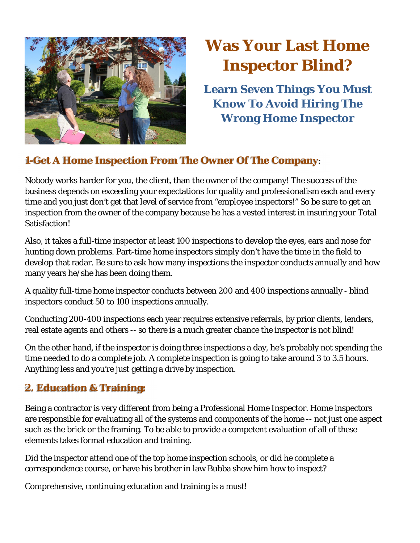

# **Was Your Last Home Inspector Blind?**

**Learn Seven Things You Must Know To Avoid Hiring The Wrong Home Inspector**

# **1-Get A Home Inspection From The Owner Of The Company**:

Nobody works harder for you, the client, than the owner of the company! The success of the business depends on exceeding your expectations for quality and professionalism each and every time and you just don't get that level of service from "employee inspectors!" So be sure to get an inspection from the owner of the company because he has a vested interest in insuring your Total Satisfaction!

Also, it takes a full-time inspector at least 100 inspections to develop the eyes, ears and nose for hunting down problems. Part-time home inspectors simply don't have the time in the field to develop that radar. Be sure to ask how many inspections the inspector conducts annually and how many years he/she has been doing them.

A quality full-time home inspector conducts between 200 and 400 inspections annually - blind inspectors conduct 50 to 100 inspections annually.

Conducting 200-400 inspections each year requires extensive referrals, by prior clients, lenders, real estate agents and others -- so there is a much greater chance the inspector is not blind!

On the other hand, if the inspector is doing three inspections a day, he's probably not spending the time needed to do a complete job. A complete inspection is going to take around 3 to 3.5 hours. Anything less and you're just getting a drive by inspection.

## **2. Education & Training:**

Being a contractor is very different from being a Professional Home Inspector. Home inspectors are responsible for evaluating all of the systems and components of the home -- not just one aspect such as the brick or the framing. To be able to provide a competent evaluation of all of these elements takes formal education and training.

Did the inspector attend one of the top home inspection schools, or did he complete a correspondence course, or have his brother in law Bubba show him how to inspect?

Comprehensive, continuing education and training is a must!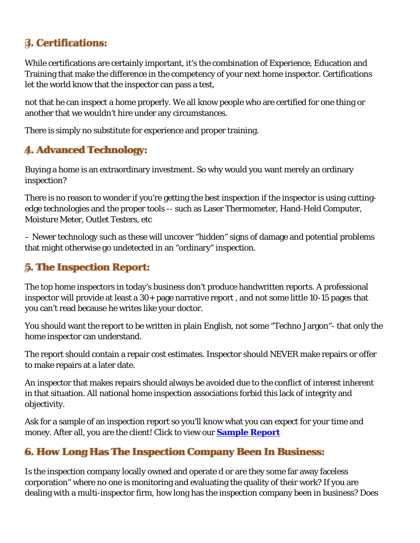## **3. Certifications:**

While certifications are certainly important, it's the combination of Experience, Education and Training that make the difference in the competency of your next home inspector. Certifications let the world know that the inspector can pass a test,

not that he can inspect a home properly. We all know people who are certified for one thing or another that we wouldn't hire under any circumstances.

There is simply no substitute for experience and proper training.

#### **4. Advanced Technology:**

Buying a home is an extraordinary investment. So why would you want merely an ordinary inspection?

There is no reason to wonder if you're getting the best inspection if the inspector is using cuttingedge technologies and the proper tools -- such as Laser Thermometer, Hand-Held Computer, Moisture Meter, Outlet Testers, etc

– Newer technology such as these will uncover "hidden" signs of damage and potential problems that might otherwise go undetected in an "ordinary" inspection.

#### **5. The Inspection Report:**

The top home inspectors in today's business don't produce handwritten reports. A professional inspector will provide at least a 30+ page narrative report , and not some little 10-15 pages that you can't read because he writes like your doctor.

You should want the report to be written in plain English, not some "Techno Jargon"- that only the home inspector can understand.

The report should contain a repair cost estimates. Inspector should NEVER make repairs or offer to make repairs at a later date.

An inspector that makes repairs should always be avoided due to the conflict of interest inherent in that situation. All national home inspection associations forbid this lack of integrity and objectivity.

Ask for a sample of an inspection report so you'll know what you can expect for your time and money. After all, you are the client! Click to view our **Sample Report**

## **6. How Long Has The Inspection Company Been In Business:**

Is the inspection company locally owned and operate d or are they some far away faceless corporation" where no one is monitoring and evaluating the quality of their work? If you are dealing with a multi-inspector firm, how long has the inspection company been in business? Does